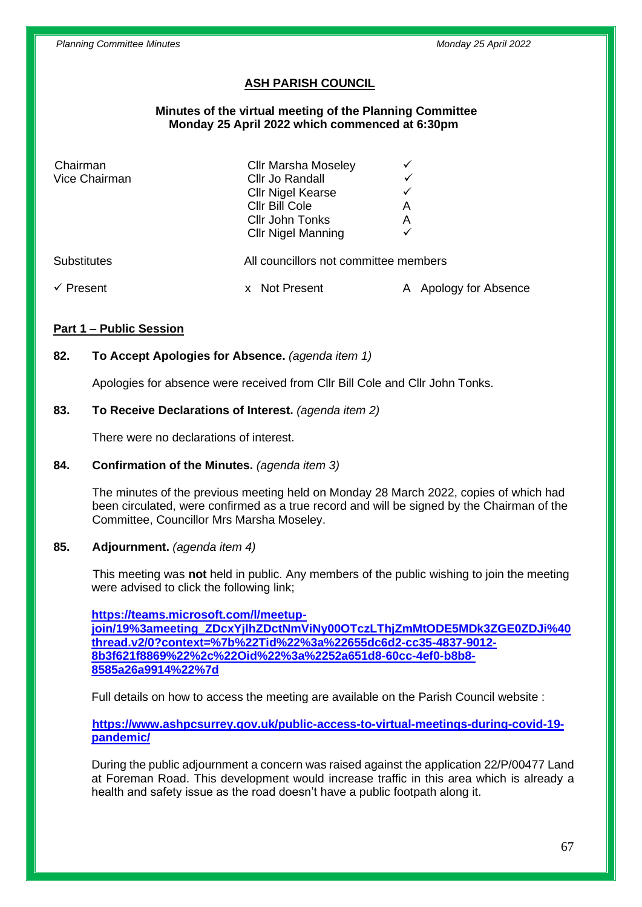## **ASH PARISH COUNCIL**

#### **Minutes of the virtual meeting of the Planning Committee Monday 25 April 2022 which commenced at 6:30pm**

| Chairman           | <b>Cllr Marsha Moseley</b>            |                          |
|--------------------|---------------------------------------|--------------------------|
| Vice Chairman      | Cllr Jo Randall                       |                          |
|                    | <b>Cllr Nigel Kearse</b>              |                          |
|                    | Cllr Bill Cole                        | Α                        |
|                    | Cllr John Tonks                       | A                        |
|                    | <b>Cllr Nigel Manning</b>             |                          |
| <b>Substitutes</b> | All councillors not committee members |                          |
| Present            | <b>Not Present</b>                    | Apology for Absence<br>А |

## **Part 1 – Public Session**

## **82. To Accept Apologies for Absence.** *(agenda item 1)*

Apologies for absence were received from Cllr Bill Cole and Cllr John Tonks.

## **83. To Receive Declarations of Interest.** *(agenda item 2)*

There were no declarations of interest.

## **84. Confirmation of the Minutes.** *(agenda item 3)*

The minutes of the previous meeting held on Monday 28 March 2022, copies of which had been circulated, were confirmed as a true record and will be signed by the Chairman of the Committee, Councillor Mrs Marsha Moseley.

#### **85. Adjournment.** *(agenda item 4)*

This meeting was **not** held in public. Any members of the public wishing to join the meeting were advised to click the following link;

**[https://teams.microsoft.com/l/meetup](https://teams.microsoft.com/l/meetup-join/19%3ameeting_ZDcxYjlhZDctNmViNy00OTczLThjZmMtODE5MDk3ZGE0ZDJi%40thread.v2/0?context=%7b%22Tid%22%3a%22655dc6d2-cc35-4837-9012-8b3f621f8869%22%2c%22Oid%22%3a%2252a651d8-60cc-4ef0-b8b8-8585a26a9914%22%7d)[join/19%3ameeting\\_ZDcxYjlhZDctNmViNy00OTczLThjZmMtODE5MDk3ZGE0ZDJi%40](https://teams.microsoft.com/l/meetup-join/19%3ameeting_ZDcxYjlhZDctNmViNy00OTczLThjZmMtODE5MDk3ZGE0ZDJi%40thread.v2/0?context=%7b%22Tid%22%3a%22655dc6d2-cc35-4837-9012-8b3f621f8869%22%2c%22Oid%22%3a%2252a651d8-60cc-4ef0-b8b8-8585a26a9914%22%7d) [thread.v2/0?context=%7b%22Tid%22%3a%22655dc6d2-cc35-4837-9012-](https://teams.microsoft.com/l/meetup-join/19%3ameeting_ZDcxYjlhZDctNmViNy00OTczLThjZmMtODE5MDk3ZGE0ZDJi%40thread.v2/0?context=%7b%22Tid%22%3a%22655dc6d2-cc35-4837-9012-8b3f621f8869%22%2c%22Oid%22%3a%2252a651d8-60cc-4ef0-b8b8-8585a26a9914%22%7d) [8b3f621f8869%22%2c%22Oid%22%3a%2252a651d8-60cc-4ef0-b8b8-](https://teams.microsoft.com/l/meetup-join/19%3ameeting_ZDcxYjlhZDctNmViNy00OTczLThjZmMtODE5MDk3ZGE0ZDJi%40thread.v2/0?context=%7b%22Tid%22%3a%22655dc6d2-cc35-4837-9012-8b3f621f8869%22%2c%22Oid%22%3a%2252a651d8-60cc-4ef0-b8b8-8585a26a9914%22%7d) [8585a26a9914%22%7d](https://teams.microsoft.com/l/meetup-join/19%3ameeting_ZDcxYjlhZDctNmViNy00OTczLThjZmMtODE5MDk3ZGE0ZDJi%40thread.v2/0?context=%7b%22Tid%22%3a%22655dc6d2-cc35-4837-9012-8b3f621f8869%22%2c%22Oid%22%3a%2252a651d8-60cc-4ef0-b8b8-8585a26a9914%22%7d)**

Full details on how to access the meeting are available on the Parish Council website :

**[https://www.ashpcsurrey.gov.uk/public-access-to-virtual-meetings-during-covid-19](https://www.ashpcsurrey.gov.uk/public-access-to-virtual-meetings-during-covid-19-pandemic/) [pandemic/](https://www.ashpcsurrey.gov.uk/public-access-to-virtual-meetings-during-covid-19-pandemic/)**

During the public adjournment a concern was raised against the application 22/P/00477 Land at Foreman Road. This development would increase traffic in this area which is already a health and safety issue as the road doesn't have a public footpath along it.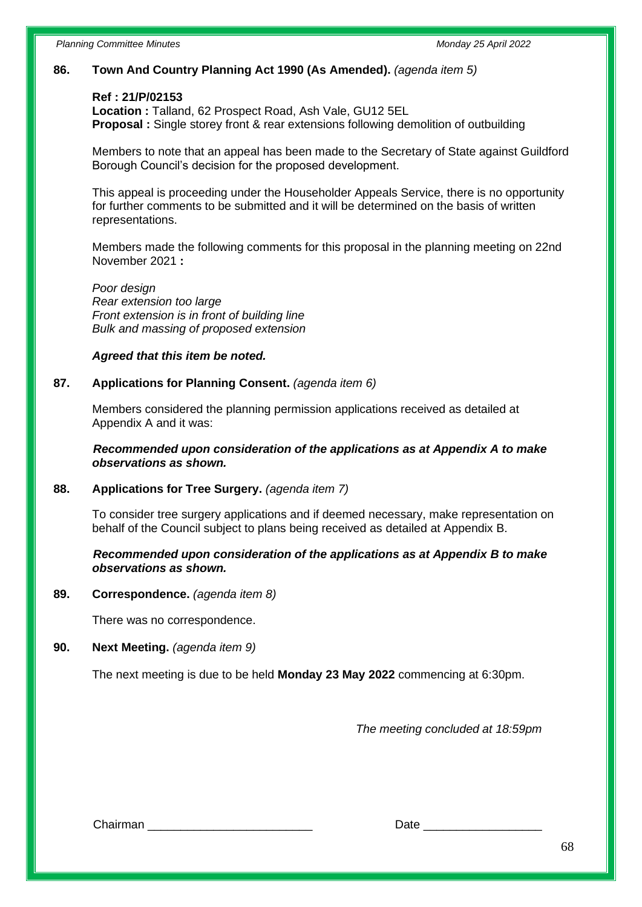## **86. Town And Country Planning Act 1990 (As Amended).** *(agenda item 5)*

#### **Ref : 21/P/02153**

**Location :** Talland, 62 Prospect Road, Ash Vale, GU12 5EL **Proposal :** Single storey front & rear extensions following demolition of outbuilding

Members to note that an appeal has been made to the Secretary of State against Guildford Borough Council's decision for the proposed development.

This appeal is proceeding under the Householder Appeals Service, there is no opportunity for further comments to be submitted and it will be determined on the basis of written representations.

Members made the following comments for this proposal in the planning meeting on 22nd November 2021 **:**

*Poor design Rear extension too large Front extension is in front of building line Bulk and massing of proposed extension*

#### *Agreed that this item be noted.*

#### **87. Applications for Planning Consent.** *(agenda item 6)*

Members considered the planning permission applications received as detailed at Appendix A and it was:

 *Recommended upon consideration of the applications as at Appendix A to make observations as shown.*

#### **88. Applications for Tree Surgery.** *(agenda item 7)*

To consider tree surgery applications and if deemed necessary, make representation on behalf of the Council subject to plans being received as detailed at Appendix B.

## *Recommended upon consideration of the applications as at Appendix B to make observations as shown.*

#### **89. Correspondence.** *(agenda item 8)*

There was no correspondence.

# **90. Next Meeting.** *(agenda item 9)*

The next meeting is due to be held **Monday 23 May 2022** commencing at 6:30pm.

*The meeting concluded at 18:59pm*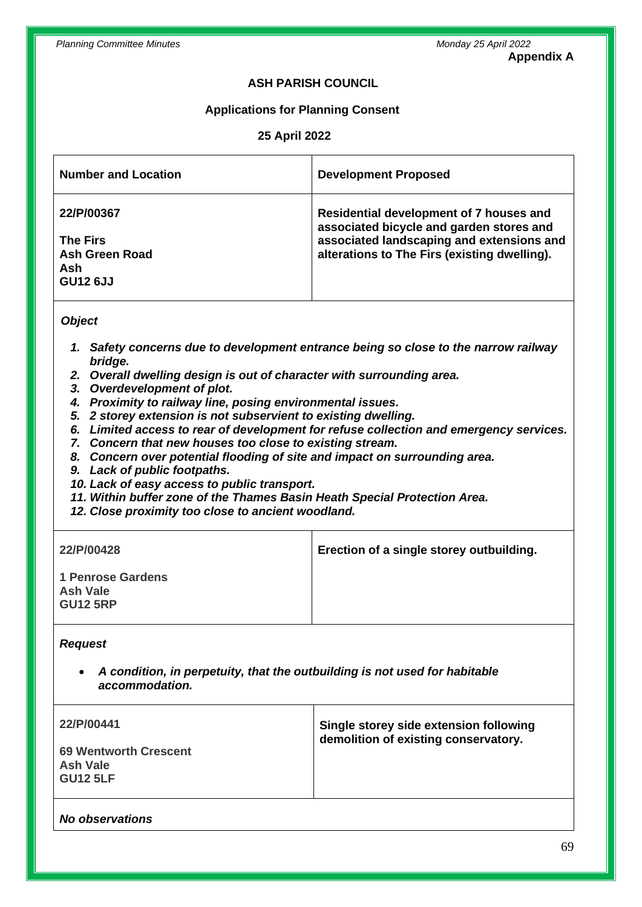## **Appendix A**

## **ASH PARISH COUNCIL**

## **Applications for Planning Consent**

## **25 April 2022**

| <b>Number and Location</b>                                                              | <b>Development Proposed</b>                                                                                                                                                      |
|-----------------------------------------------------------------------------------------|----------------------------------------------------------------------------------------------------------------------------------------------------------------------------------|
| 22/P/00367<br><b>The Firs</b><br><b>Ash Green Road</b><br><b>Ash</b><br><b>GU12 6JJ</b> | Residential development of 7 houses and<br>associated bicycle and garden stores and<br>associated landscaping and extensions and<br>alterations to The Firs (existing dwelling). |

## *Object*

- *1. Safety concerns due to development entrance being so close to the narrow railway bridge.*
- *2. Overall dwelling design is out of character with surrounding area.*
- *3. Overdevelopment of plot.*
- *4. Proximity to railway line, posing environmental issues.*
- *5. 2 storey extension is not subservient to existing dwelling.*
- *6. Limited access to rear of development for refuse collection and emergency services.*
- *7. Concern that new houses too close to existing stream.*
- *8. Concern over potential flooding of site and impact on surrounding area.*
- *9. Lack of public footpaths.*
- *10. Lack of easy access to public transport.*
- *11. Within buffer zone of the Thames Basin Heath Special Protection Area.*
- *12. Close proximity too close to ancient woodland.*

| <b>22/P/00428</b>                                              | Erection of a single storey outbuilding. |
|----------------------------------------------------------------|------------------------------------------|
| <b>1 Penrose Gardens</b><br><b>Ash Vale</b><br><b>GU12 5RP</b> |                                          |

# *Request*

• *A condition, in perpetuity, that the outbuilding is not used for habitable accommodation.*

| 22/P/00441                                                         | Single storey side extension following<br>demolition of existing conservatory. |
|--------------------------------------------------------------------|--------------------------------------------------------------------------------|
| <b>69 Wentworth Crescent</b><br><b>Ash Vale</b><br><b>GU12 5LF</b> |                                                                                |

#### *No observations*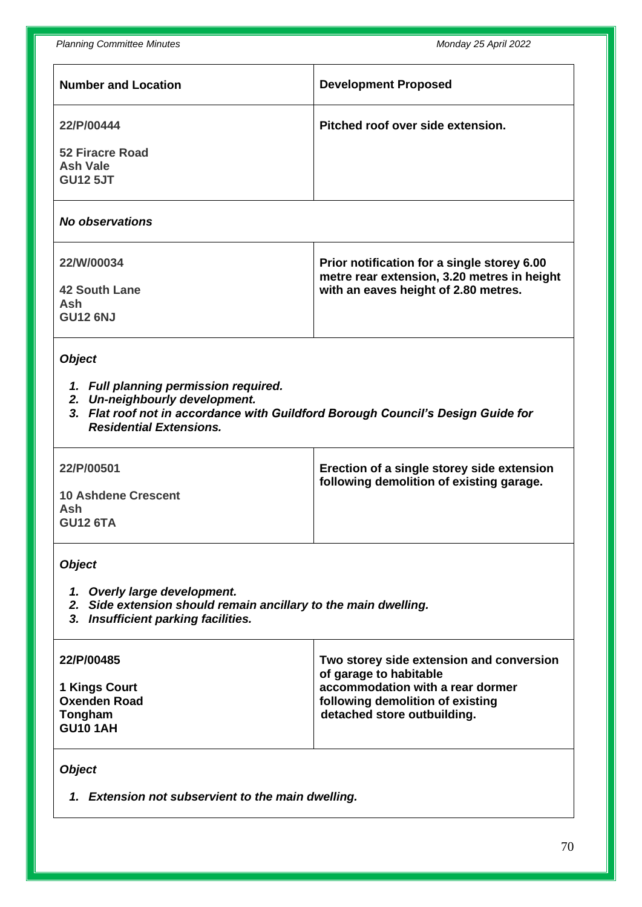*Planning Committee Minutes Monday 25 April 2022*

| r ianiniy Commutee Minutes                                                                                                                                                                    | <b><i>IVIUIIUAY LU APIII LULL</i></b>                                               |  |  |
|-----------------------------------------------------------------------------------------------------------------------------------------------------------------------------------------------|-------------------------------------------------------------------------------------|--|--|
| <b>Number and Location</b>                                                                                                                                                                    | <b>Development Proposed</b>                                                         |  |  |
| 22/P/00444                                                                                                                                                                                    | Pitched roof over side extension.                                                   |  |  |
| <b>52 Firacre Road</b>                                                                                                                                                                        |                                                                                     |  |  |
| <b>Ash Vale</b>                                                                                                                                                                               |                                                                                     |  |  |
| <b>GU12 5JT</b>                                                                                                                                                                               |                                                                                     |  |  |
| <b>No observations</b>                                                                                                                                                                        |                                                                                     |  |  |
| 22/W/00034                                                                                                                                                                                    | Prior notification for a single storey 6.00                                         |  |  |
| <b>42 South Lane</b>                                                                                                                                                                          | metre rear extension, 3.20 metres in height<br>with an eaves height of 2.80 metres. |  |  |
| Ash                                                                                                                                                                                           |                                                                                     |  |  |
| <b>GU12 6NJ</b>                                                                                                                                                                               |                                                                                     |  |  |
| <b>Object</b>                                                                                                                                                                                 |                                                                                     |  |  |
| 1. Full planning permission required.<br>2. Un-neighbourly development.<br>3. Flat roof not in accordance with Guildford Borough Council's Design Guide for<br><b>Residential Extensions.</b> |                                                                                     |  |  |
| 22/P/00501                                                                                                                                                                                    | Erection of a single storey side extension                                          |  |  |
| <b>10 Ashdene Crescent</b>                                                                                                                                                                    | following demolition of existing garage.                                            |  |  |
| Ash                                                                                                                                                                                           |                                                                                     |  |  |
| <b>GU12 6TA</b>                                                                                                                                                                               |                                                                                     |  |  |
| <b>Object</b>                                                                                                                                                                                 |                                                                                     |  |  |
| 1. Overly large development.                                                                                                                                                                  |                                                                                     |  |  |
| 2. Side extension should remain ancillary to the main dwelling.                                                                                                                               |                                                                                     |  |  |
| 3. Insufficient parking facilities.                                                                                                                                                           |                                                                                     |  |  |
| 22/P/00485                                                                                                                                                                                    | Two storey side extension and conversion<br>of garage to habitable                  |  |  |
| <b>1 Kings Court</b>                                                                                                                                                                          | accommodation with a rear dormer                                                    |  |  |
| <b>Oxenden Road</b>                                                                                                                                                                           | following demolition of existing                                                    |  |  |
| Tongham<br><b>GU10 1AH</b>                                                                                                                                                                    | detached store outbuilding.                                                         |  |  |
| <b>Object</b>                                                                                                                                                                                 |                                                                                     |  |  |
|                                                                                                                                                                                               |                                                                                     |  |  |

*1. Extension not subservient to the main dwelling.*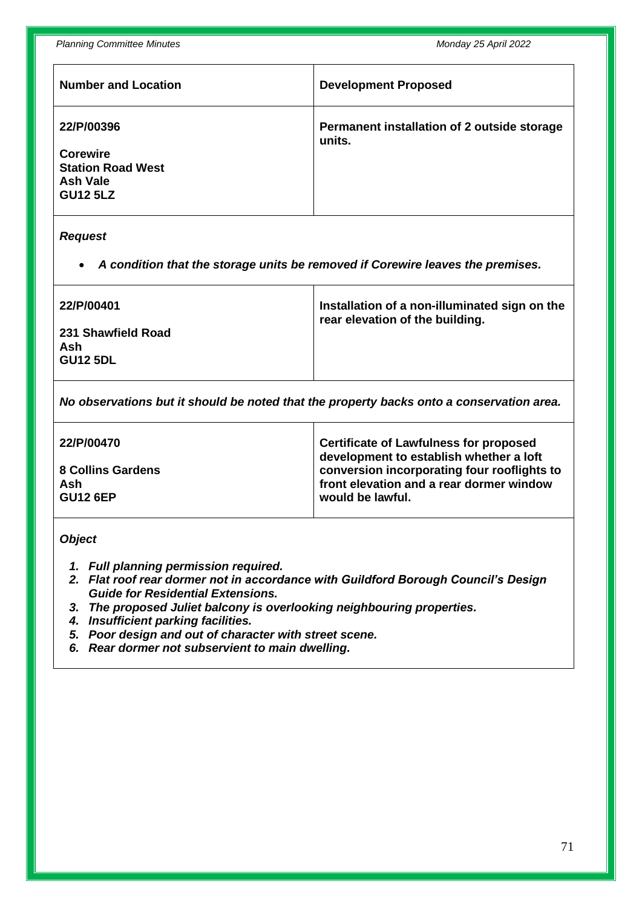*Planning Committee Minutes Monday 25 April 2022*

| <b>Number and Location</b>                                                                      | <b>Development Proposed</b>                           |
|-------------------------------------------------------------------------------------------------|-------------------------------------------------------|
| 22/P/00396<br><b>Corewire</b><br><b>Station Road West</b><br><b>Ash Vale</b><br><b>GU12 5LZ</b> | Permanent installation of 2 outside storage<br>units. |

#### *Request*

• *A condition that the storage units be removed if Corewire leaves the premises.*

| <b>22/P/00401</b>                            | Installation of a non-illuminated sign on the<br>rear elevation of the building. |
|----------------------------------------------|----------------------------------------------------------------------------------|
| 231 Shawfield Road<br>Ash<br><b>GU12 5DL</b> |                                                                                  |

*No observations but it should be noted that the property backs onto a conservation area.*

| <b>22/P/00470</b> | Certificate of Lawfulness for proposed<br>development to establish whether a loft |
|-------------------|-----------------------------------------------------------------------------------|
| 8 Collins Gardens | conversion incorporating four rooflights to                                       |
| Ash               | front elevation and a rear dormer window                                          |
| <b>GU12 6EP</b>   | would be lawful.                                                                  |

*Object*

- *1. Full planning permission required.*
- *2. Flat roof rear dormer not in accordance with Guildford Borough Council's Design Guide for Residential Extensions.*
- *3. The proposed Juliet balcony is overlooking neighbouring properties.*
- *4. Insufficient parking facilities.*
- *5. Poor design and out of character with street scene.*
- *6. Rear dormer not subservient to main dwelling.*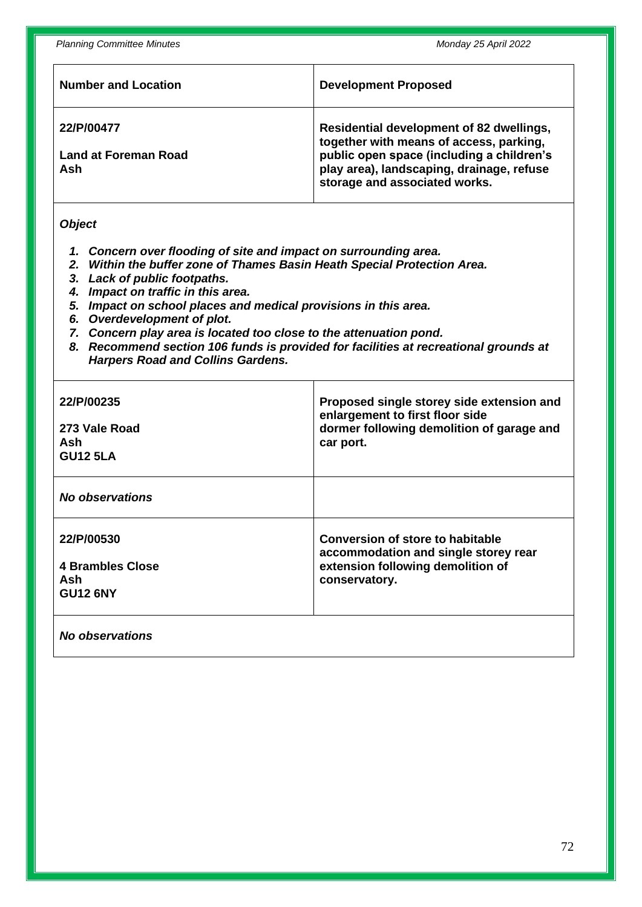| <b>Number and Location</b>                       | <b>Development Proposed</b>                                                                                                                                                                                    |
|--------------------------------------------------|----------------------------------------------------------------------------------------------------------------------------------------------------------------------------------------------------------------|
| 22/P/00477<br><b>Land at Foreman Road</b><br>Ash | Residential development of 82 dwellings,<br>together with means of access, parking,<br>public open space (including a children's<br>play area), landscaping, drainage, refuse<br>storage and associated works. |

## *Object*

- *1. Concern over flooding of site and impact on surrounding area.*
- *2. Within the buffer zone of Thames Basin Heath Special Protection Area.*
- *3. Lack of public footpaths.*
- *4. Impact on traffic in this area.*
- *5. Impact on school places and medical provisions in this area.*
- *6. Overdevelopment of plot.*
- *7. Concern play area is located too close to the attenuation pond.*
- *8. Recommend section 106 funds is provided for facilities at recreational grounds at Harpers Road and Collins Gardens.*

| 22/P/00235              | Proposed single storey side extension and |
|-------------------------|-------------------------------------------|
| 273 Vale Road           | enlargement to first floor side           |
| Ash                     | dormer following demolition of garage and |
| <b>GU12 5LA</b>         | car port.                                 |
| No observations         |                                           |
| 22/P/00530              | <b>Conversion of store to habitable</b>   |
| <b>4 Brambles Close</b> | accommodation and single storey rear      |
| Ash                     | extension following demolition of         |
| <b>GU12 6NY</b>         | conservatory.                             |
| No observations         |                                           |